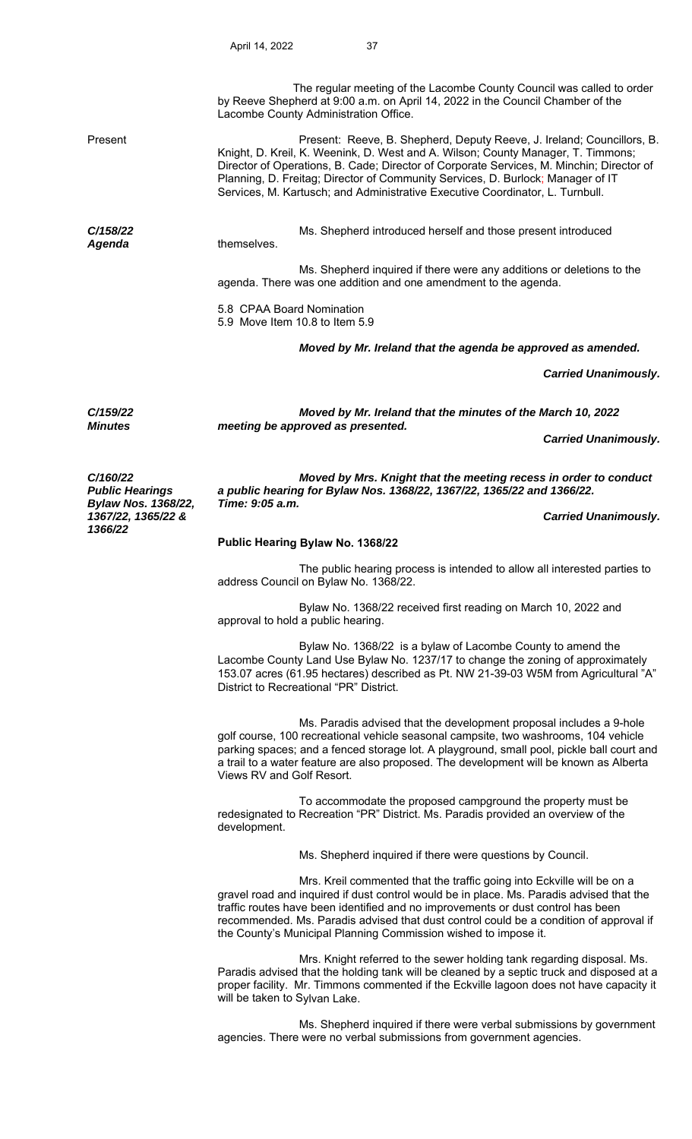|                                                                                                   | The regular meeting of the Lacombe County Council was called to order<br>by Reeve Shepherd at 9:00 a.m. on April 14, 2022 in the Council Chamber of the<br>Lacombe County Administration Office.                                                                                                                                                                                                                           |                             |  |
|---------------------------------------------------------------------------------------------------|----------------------------------------------------------------------------------------------------------------------------------------------------------------------------------------------------------------------------------------------------------------------------------------------------------------------------------------------------------------------------------------------------------------------------|-----------------------------|--|
| Present                                                                                           | Present: Reeve, B. Shepherd, Deputy Reeve, J. Ireland; Councillors, B.<br>Knight, D. Kreil, K. Weenink, D. West and A. Wilson; County Manager, T. Timmons;<br>Director of Operations, B. Cade; Director of Corporate Services, M. Minchin; Director of<br>Planning, D. Freitag; Director of Community Services, D. Burlock; Manager of IT<br>Services, M. Kartusch; and Administrative Executive Coordinator, L. Turnbull. |                             |  |
| C/158/22<br>Agenda                                                                                | Ms. Shepherd introduced herself and those present introduced<br>themselves.                                                                                                                                                                                                                                                                                                                                                |                             |  |
|                                                                                                   | Ms. Shepherd inquired if there were any additions or deletions to the<br>agenda. There was one addition and one amendment to the agenda.                                                                                                                                                                                                                                                                                   |                             |  |
|                                                                                                   | 5.8 CPAA Board Nomination<br>5.9 Move Item 10.8 to Item 5.9                                                                                                                                                                                                                                                                                                                                                                |                             |  |
|                                                                                                   | Moved by Mr. Ireland that the agenda be approved as amended.                                                                                                                                                                                                                                                                                                                                                               |                             |  |
|                                                                                                   |                                                                                                                                                                                                                                                                                                                                                                                                                            | <b>Carried Unanimously.</b> |  |
| C/159/22<br><b>Minutes</b>                                                                        | Moved by Mr. Ireland that the minutes of the March 10, 2022<br>meeting be approved as presented.                                                                                                                                                                                                                                                                                                                           |                             |  |
|                                                                                                   |                                                                                                                                                                                                                                                                                                                                                                                                                            | <b>Carried Unanimously.</b> |  |
| C/160/22<br><b>Public Hearings</b><br><b>Bylaw Nos. 1368/22,</b><br>1367/22, 1365/22 &<br>1366/22 | Moved by Mrs. Knight that the meeting recess in order to conduct<br>a public hearing for Bylaw Nos. 1368/22, 1367/22, 1365/22 and 1366/22.<br>Time: 9:05 a.m.                                                                                                                                                                                                                                                              |                             |  |
|                                                                                                   |                                                                                                                                                                                                                                                                                                                                                                                                                            | <b>Carried Unanimously.</b> |  |
|                                                                                                   | Public Hearing Bylaw No. 1368/22                                                                                                                                                                                                                                                                                                                                                                                           |                             |  |
|                                                                                                   | The public hearing process is intended to allow all interested parties to<br>address Council on Bylaw No. 1368/22.                                                                                                                                                                                                                                                                                                         |                             |  |
|                                                                                                   | Bylaw No. 1368/22 received first reading on March 10, 2022 and<br>approval to hold a public hearing.                                                                                                                                                                                                                                                                                                                       |                             |  |
|                                                                                                   | Bylaw No. 1368/22 is a bylaw of Lacombe County to amend the<br>Lacombe County Land Use Bylaw No. 1237/17 to change the zoning of approximately<br>153.07 acres (61.95 hectares) described as Pt. NW 21-39-03 W5M from Agricultural "A"<br>District to Recreational "PR" District.                                                                                                                                          |                             |  |
|                                                                                                   | Ms. Paradis advised that the development proposal includes a 9-hole<br>golf course, 100 recreational vehicle seasonal campsite, two washrooms, 104 vehicle<br>parking spaces; and a fenced storage lot. A playground, small pool, pickle ball court and<br>a trail to a water feature are also proposed. The development will be known as Alberta<br>Views RV and Golf Resort.                                             |                             |  |
|                                                                                                   | To accommodate the proposed campground the property must be<br>redesignated to Recreation "PR" District. Ms. Paradis provided an overview of the<br>development.                                                                                                                                                                                                                                                           |                             |  |
|                                                                                                   | Ms. Shepherd inquired if there were questions by Council.                                                                                                                                                                                                                                                                                                                                                                  |                             |  |
|                                                                                                   | Mrs. Kreil commented that the traffic going into Eckville will be on a<br>gravel road and inquired if dust control would be in place. Ms. Paradis advised that the<br>traffic routes have been identified and no improvements or dust control has been<br>recommended. Ms. Paradis advised that dust control could be a condition of approval if<br>the County's Municipal Planning Commission wished to impose it.        |                             |  |
|                                                                                                   | Mrs. Knight referred to the sewer holding tank regarding disposal. Ms.<br>Paradis advised that the holding tank will be cleaned by a septic truck and disposed at a<br>proper facility. Mr. Timmons commented if the Eckville lagoon does not have capacity it<br>will be taken to Sylvan Lake.                                                                                                                            |                             |  |
|                                                                                                   | Ms. Shepherd inquired if there were verbal submissions by government                                                                                                                                                                                                                                                                                                                                                       |                             |  |

agencies. There were no verbal submissions from government agencies.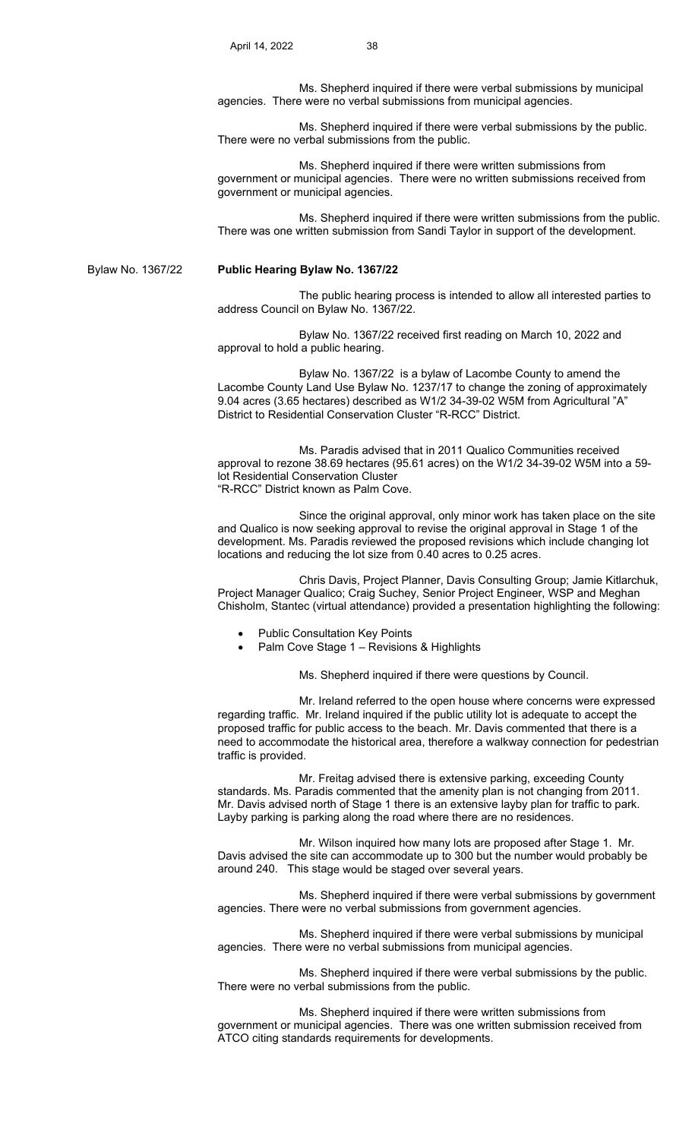Ms. Shepherd inquired if there were verbal submissions by municipal agencies. There were no verbal submissions from municipal agencies.

 Ms. Shepherd inquired if there were verbal submissions by the public. There were no verbal submissions from the public.

 Ms. Shepherd inquired if there were written submissions from government or municipal agencies. There were no written submissions received from government or municipal agencies.

 Ms. Shepherd inquired if there were written submissions from the public. There was one written submission from Sandi Taylor in support of the development.

Bylaw No. 1367/22 **Public Hearing Bylaw No. 1367/22**

 The public hearing process is intended to allow all interested parties to address Council on Bylaw No. 1367/22.

 Bylaw No. 1367/22 received first reading on March 10, 2022 and approval to hold a public hearing.

 Bylaw No. 1367/22 is a bylaw of Lacombe County to amend the Lacombe County Land Use Bylaw No. 1237/17 to change the zoning of approximately 9.04 acres (3.65 hectares) described as W1/2 34-39-02 W5M from Agricultural "A" District to Residential Conservation Cluster "R-RCC" District.

 Ms. Paradis advised that in 2011 Qualico Communities received approval to rezone 38.69 hectares (95.61 acres) on the W1/2 34-39-02 W5M into a 59 lot Residential Conservation Cluster "R-RCC" District known as Palm Cove.

 Since the original approval, only minor work has taken place on the site and Qualico is now seeking approval to revise the original approval in Stage 1 of the development. Ms. Paradis reviewed the proposed revisions which include changing lot locations and reducing the lot size from 0.40 acres to 0.25 acres.

 Chris Davis, Project Planner, Davis Consulting Group; Jamie Kitlarchuk, Project Manager Qualico; Craig Suchey, Senior Project Engineer, WSP and Meghan Chisholm, Stantec (virtual attendance) provided a presentation highlighting the following:

- Public Consultation Key Points
- Palm Cove Stage 1 Revisions & Highlights

Ms. Shepherd inquired if there were questions by Council.

 Mr. Ireland referred to the open house where concerns were expressed regarding traffic. Mr. Ireland inquired if the public utility lot is adequate to accept the proposed traffic for public access to the beach. Mr. Davis commented that there is a need to accommodate the historical area, therefore a walkway connection for pedestrian traffic is provided.

 Mr. Freitag advised there is extensive parking, exceeding County standards. Ms. Paradis commented that the amenity plan is not changing from 2011. Mr. Davis advised north of Stage 1 there is an extensive layby plan for traffic to park. Layby parking is parking along the road where there are no residences.

 Mr. Wilson inquired how many lots are proposed after Stage 1. Mr. Davis advised the site can accommodate up to 300 but the number would probably be around 240. This stage would be staged over several years.

 Ms. Shepherd inquired if there were verbal submissions by government agencies. There were no verbal submissions from government agencies.

 Ms. Shepherd inquired if there were verbal submissions by municipal agencies. There were no verbal submissions from municipal agencies.

 Ms. Shepherd inquired if there were verbal submissions by the public. There were no verbal submissions from the public.

 Ms. Shepherd inquired if there were written submissions from government or municipal agencies. There was one written submission received from ATCO citing standards requirements for developments.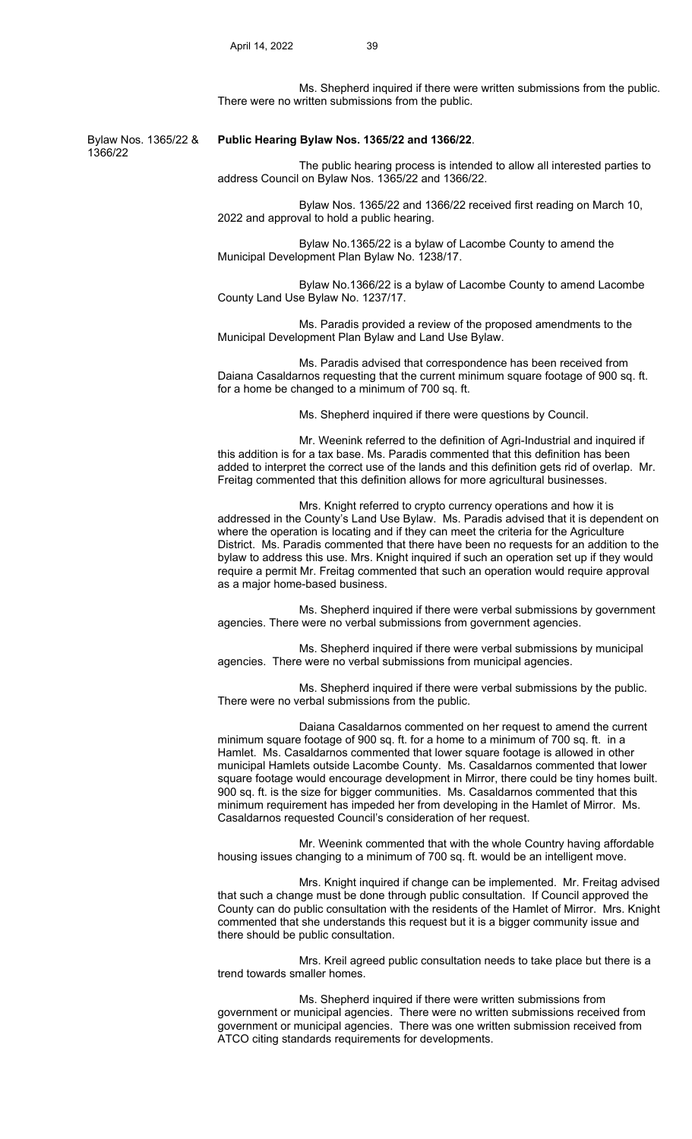Ms. Shepherd inquired if there were written submissions from the public. There were no written submissions from the public.

1366/22

#### Bylaw Nos. 1365/22 & **Public Hearing Bylaw Nos. 1365/22 and 1366/22**.

 The public hearing process is intended to allow all interested parties to address Council on Bylaw Nos. 1365/22 and 1366/22.

 Bylaw Nos. 1365/22 and 1366/22 received first reading on March 10, 2022 and approval to hold a public hearing.

 Bylaw No.1365/22 is a bylaw of Lacombe County to amend the Municipal Development Plan Bylaw No. 1238/17.

 Bylaw No.1366/22 is a bylaw of Lacombe County to amend Lacombe County Land Use Bylaw No. 1237/17.

 Ms. Paradis provided a review of the proposed amendments to the Municipal Development Plan Bylaw and Land Use Bylaw.

Ms. Paradis advised that correspondence has been received from Daiana Casaldarnos requesting that the current minimum square footage of 900 sq. ft. for a home be changed to a minimum of 700 sq. ft.

Ms. Shepherd inquired if there were questions by Council.

 Mr. Weenink referred to the definition of Agri-Industrial and inquired if this addition is for a tax base. Ms. Paradis commented that this definition has been added to interpret the correct use of the lands and this definition gets rid of overlap. Mr. Freitag commented that this definition allows for more agricultural businesses.

 Mrs. Knight referred to crypto currency operations and how it is addressed in the County's Land Use Bylaw. Ms. Paradis advised that it is dependent on where the operation is locating and if they can meet the criteria for the Agriculture District. Ms. Paradis commented that there have been no requests for an addition to the bylaw to address this use. Mrs. Knight inquired if such an operation set up if they would require a permit Mr. Freitag commented that such an operation would require approval as a major home-based business.

 Ms. Shepherd inquired if there were verbal submissions by government agencies. There were no verbal submissions from government agencies.

 Ms. Shepherd inquired if there were verbal submissions by municipal agencies. There were no verbal submissions from municipal agencies.

 Ms. Shepherd inquired if there were verbal submissions by the public. There were no verbal submissions from the public.

 Daiana Casaldarnos commented on her request to amend the current minimum square footage of 900 sq. ft. for a home to a minimum of 700 sq. ft. in a Hamlet. Ms. Casaldarnos commented that lower square footage is allowed in other municipal Hamlets outside Lacombe County. Ms. Casaldarnos commented that lower square footage would encourage development in Mirror, there could be tiny homes built. 900 sq. ft. is the size for bigger communities. Ms. Casaldarnos commented that this minimum requirement has impeded her from developing in the Hamlet of Mirror. Ms. Casaldarnos requested Council's consideration of her request.

 Mr. Weenink commented that with the whole Country having affordable housing issues changing to a minimum of 700 sq. ft. would be an intelligent move.

 Mrs. Knight inquired if change can be implemented. Mr. Freitag advised that such a change must be done through public consultation. If Council approved the County can do public consultation with the residents of the Hamlet of Mirror. Mrs. Knight commented that she understands this request but it is a bigger community issue and there should be public consultation.

 Mrs. Kreil agreed public consultation needs to take place but there is a trend towards smaller homes.

 Ms. Shepherd inquired if there were written submissions from government or municipal agencies. There were no written submissions received from government or municipal agencies. There was one written submission received from ATCO citing standards requirements for developments.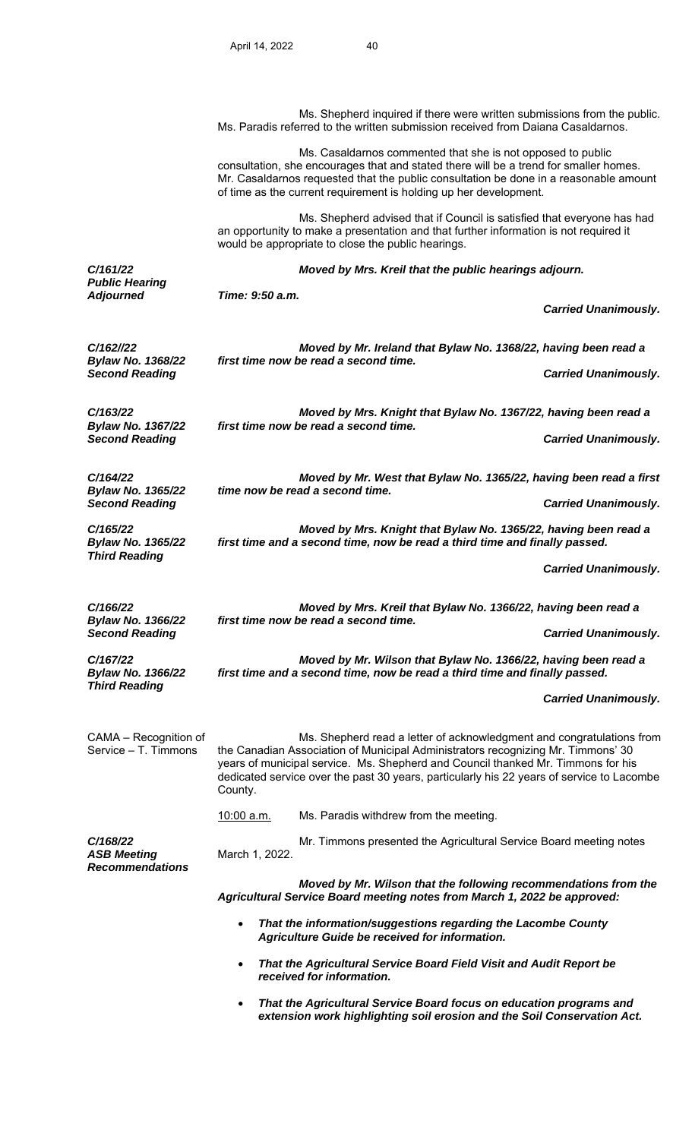Ms. Shepherd inquired if there were written submissions from the public. Ms. Paradis referred to the written submission received from Daiana Casaldarnos. Ms. Casaldarnos commented that she is not opposed to public consultation, she encourages that and stated there will be a trend for smaller homes. Mr. Casaldarnos requested that the public consultation be done in a reasonable amount of time as the current requirement is holding up her development. Ms. Shepherd advised that if Council is satisfied that everyone has had an opportunity to make a presentation and that further information is not required it would be appropriate to close the public hearings. *C/161/22 Public Hearing Moved by Mrs. Kreil that the public hearings adjourn. Adjourned Time: 9:50 a.m. Carried Unanimously. C/162//22 Bylaw No. 1368/22 Moved by Mr. Ireland that Bylaw No. 1368/22, having been read a first time now be read a second time.*  **Carried Unanimously.** *C/163/22 Bylaw No. 1367/22 Moved by Mrs. Knight that Bylaw No. 1367/22, having been read a first time now be read a second time.*  **Carried Unanimously.** *C/164/22 Bylaw No. 1365/22 Moved by Mr. West that Bylaw No. 1365/22, having been read a first time now be read a second time.*  **Second Reading Carried Unanimously. Carried Unanimously. Carried Unanimously.** *C/165/22 Bylaw No. 1365/22 Moved by Mrs. Knight that Bylaw No. 1365/22, having been read a first time and a second time, now be read a third time and finally passed. Third Reading Carried Unanimously. C/166/22 Bylaw No. 1366/22 Moved by Mrs. Kreil that Bylaw No. 1366/22, having been read a first time now be read a second time.*  **Second Reading Carried Unanimously. Carried Unanimously. Carried Unanimously.** *C/167/22 Bylaw No. 1366/22 Third Reading Moved by Mr. Wilson that Bylaw No. 1366/22, having been read a first time and a second time, now be read a third time and finally passed. Carried Unanimously.*  CAMA – Recognition of Service – T. Timmons Ms. Shepherd read a letter of acknowledgment and congratulations from the Canadian Association of Municipal Administrators recognizing Mr. Timmons' 30 years of municipal service. Ms. Shepherd and Council thanked Mr. Timmons for his dedicated service over the past 30 years, particularly his 22 years of service to Lacombe County. 10:00 a.m. Ms. Paradis withdrew from the meeting. *C/168/22 ASB Meeting*  Mr. Timmons presented the Agricultural Service Board meeting notes March 1, 2022. *Recommendations Moved by Mr. Wilson that the following recommendations from the Agricultural Service Board meeting notes from March 1, 2022 be approved: That the information/suggestions regarding the Lacombe County Agriculture Guide be received for information. That the Agricultural Service Board Field Visit and Audit Report be received for information.* 

 *That the Agricultural Service Board focus on education programs and extension work highlighting soil erosion and the Soil Conservation Act.*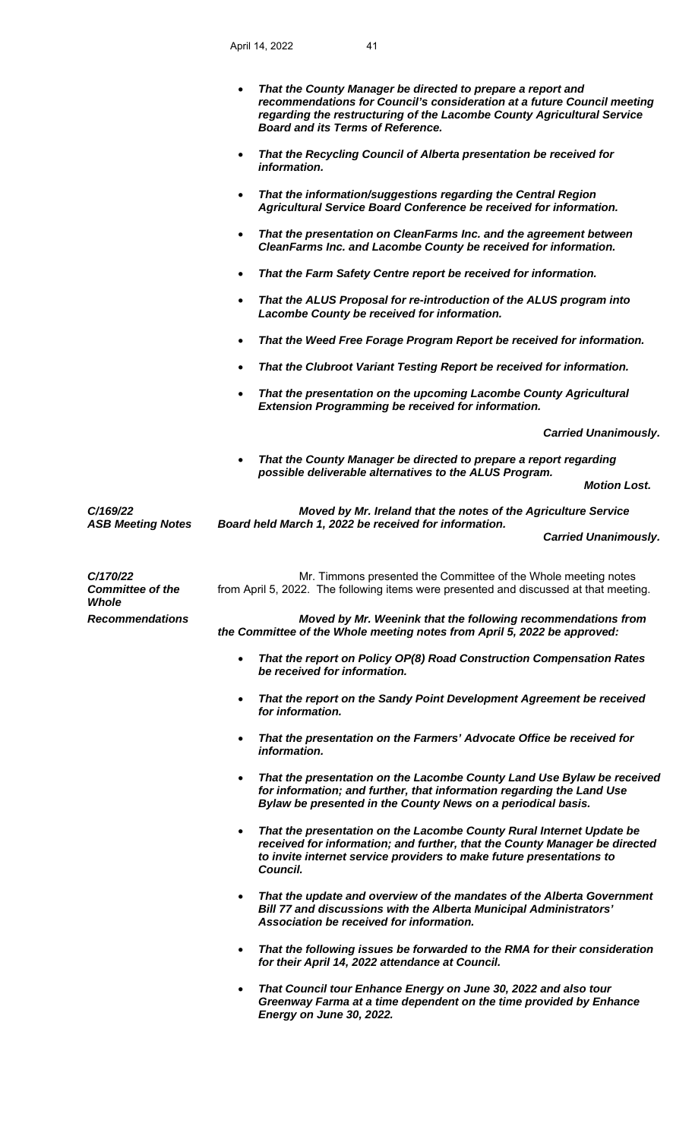April 14, 2022 41

|                                              | That the County Manager be directed to prepare a report and<br>$\bullet$<br>recommendations for Council's consideration at a future Council meeting<br>regarding the restructuring of the Lacombe County Agricultural Service<br><b>Board and its Terms of Reference.</b> |
|----------------------------------------------|---------------------------------------------------------------------------------------------------------------------------------------------------------------------------------------------------------------------------------------------------------------------------|
|                                              | That the Recycling Council of Alberta presentation be received for<br>$\bullet$<br>information.                                                                                                                                                                           |
|                                              | That the information/suggestions regarding the Central Region<br>$\bullet$<br>Agricultural Service Board Conference be received for information.                                                                                                                          |
|                                              | That the presentation on CleanFarms Inc. and the agreement between<br>$\bullet$<br>CleanFarms Inc. and Lacombe County be received for information.                                                                                                                        |
|                                              | That the Farm Safety Centre report be received for information.<br>$\bullet$                                                                                                                                                                                              |
|                                              | That the ALUS Proposal for re-introduction of the ALUS program into<br>$\bullet$<br>Lacombe County be received for information.                                                                                                                                           |
|                                              | That the Weed Free Forage Program Report be received for information.<br>$\bullet$                                                                                                                                                                                        |
|                                              | That the Clubroot Variant Testing Report be received for information.<br>$\bullet$                                                                                                                                                                                        |
|                                              | That the presentation on the upcoming Lacombe County Agricultural<br>$\bullet$<br><b>Extension Programming be received for information.</b>                                                                                                                               |
|                                              | <b>Carried Unanimously.</b>                                                                                                                                                                                                                                               |
|                                              | That the County Manager be directed to prepare a report regarding<br>$\bullet$<br>possible deliverable alternatives to the ALUS Program.                                                                                                                                  |
|                                              | <b>Motion Lost.</b>                                                                                                                                                                                                                                                       |
| C/169/22<br><b>ASB Meeting Notes</b>         | Moved by Mr. Ireland that the notes of the Agriculture Service<br>Board held March 1, 2022 be received for information.                                                                                                                                                   |
|                                              | <b>Carried Unanimously.</b>                                                                                                                                                                                                                                               |
| C/170/22<br><b>Committee of the</b><br>Whole | Mr. Timmons presented the Committee of the Whole meeting notes<br>from April 5, 2022. The following items were presented and discussed at that meeting.                                                                                                                   |
| <b>Recommendations</b>                       | Moved by Mr. Weenink that the following recommendations from<br>the Committee of the Whole meeting notes from April 5, 2022 be approved:                                                                                                                                  |
|                                              | That the report on Policy OP(8) Road Construction Compensation Rates<br>$\bullet$<br>be received for information.                                                                                                                                                         |
|                                              | That the report on the Sandy Point Development Agreement be received<br>$\bullet$<br>for information.                                                                                                                                                                     |
|                                              | That the presentation on the Farmers' Advocate Office be received for<br>$\bullet$<br>information.                                                                                                                                                                        |
|                                              | That the presentation on the Lacombe County Land Use Bylaw be received<br>$\bullet$<br>for information; and further, that information regarding the Land Use<br>Bylaw be presented in the County News on a periodical basis.                                              |
|                                              | That the presentation on the Lacombe County Rural Internet Update be<br>$\bullet$<br>received for information; and further, that the County Manager be directed<br>to invite internet service providers to make future presentations to<br>Council.                       |
|                                              | That the update and overview of the mandates of the Alberta Government<br>$\bullet$<br>Bill 77 and discussions with the Alberta Municipal Administrators'<br>Association be received for information.                                                                     |
|                                              | That the following issues be forwarded to the RMA for their consideration<br>$\bullet$<br>for their April 14, 2022 attendance at Council.                                                                                                                                 |
|                                              | That Council tour Enhance Energy on June 30, 2022 and also tour<br>$\bullet$<br>Greenway Farma at a time dependent on the time provided by Enhance<br>Energy on June 30, 2022.                                                                                            |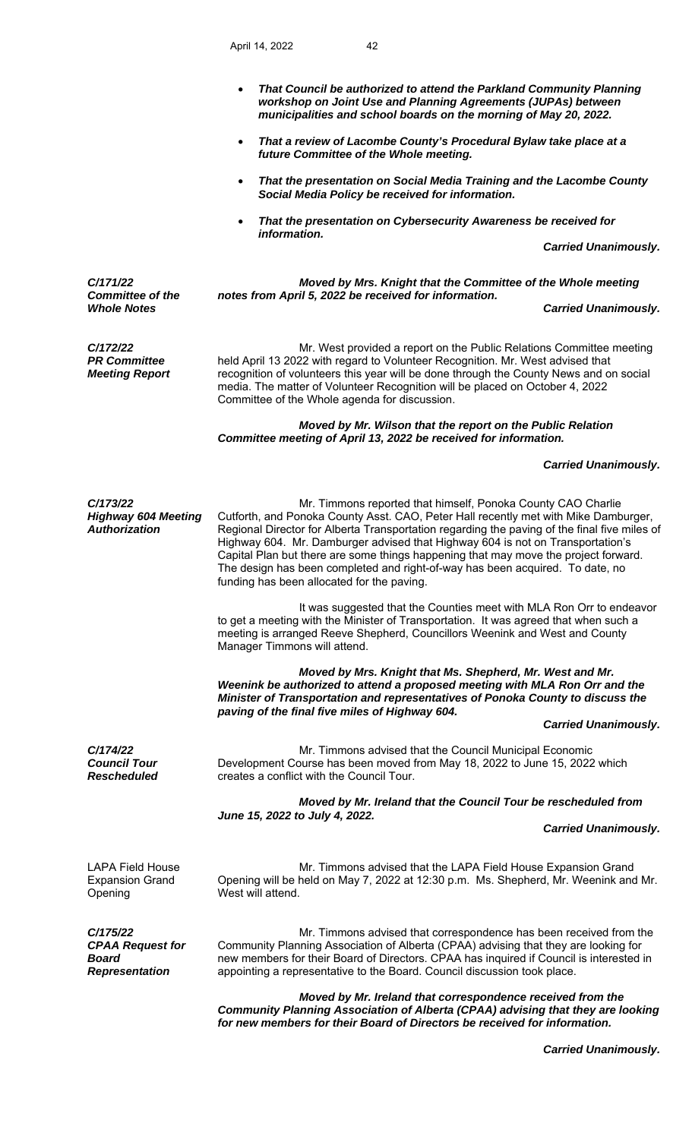- *That Council be authorized to attend the Parkland Community Planning workshop on Joint Use and Planning Agreements (JUPAs) between municipalities and school boards on the morning of May 20, 2022.*
- *That a review of Lacombe County's Procedural Bylaw take place at a future Committee of the Whole meeting.*
- *That the presentation on Social Media Training and the Lacombe County Social Media Policy be received for information.*
- *That the presentation on Cybersecurity Awareness be received for information.*

 *Carried Unanimously.* 

*C/171/22 Committee of the Moved by Mrs. Knight that the Committee of the Whole meeting notes from April 5, 2022 be received for information.*  **Carried Unanimously.** 

*C/172/22 PR Committee* 

*Meeting Report* 

 Mr. West provided a report on the Public Relations Committee meeting held April 13 2022 with regard to Volunteer Recognition. Mr. West advised that recognition of volunteers this year will be done through the County News and on social media. The matter of Volunteer Recognition will be placed on October 4, 2022 Committee of the Whole agenda for discussion.

# *Moved by Mr. Wilson that the report on the Public Relation Committee meeting of April 13, 2022 be received for information.*

### *Carried Unanimously.*

*C/173/22 Highway 604 Meeting Authorization* 

 Mr. Timmons reported that himself, Ponoka County CAO Charlie Cutforth, and Ponoka County Asst. CAO, Peter Hall recently met with Mike Damburger, Regional Director for Alberta Transportation regarding the paving of the final five miles of Highway 604. Mr. Damburger advised that Highway 604 is not on Transportation's Capital Plan but there are some things happening that may move the project forward. The design has been completed and right-of-way has been acquired. To date, no funding has been allocated for the paving.

 It was suggested that the Counties meet with MLA Ron Orr to endeavor to get a meeting with the Minister of Transportation. It was agreed that when such a meeting is arranged Reeve Shepherd, Councillors Weenink and West and County Manager Timmons will attend.

 *Moved by Mrs. Knight that Ms. Shepherd, Mr. West and Mr. Weenink be authorized to attend a proposed meeting with MLA Ron Orr and the Minister of Transportation and representatives of Ponoka County to discuss the paving of the final five miles of Highway 604.* 

### *Carried Unanimously.*

*C/174/22 Council Tour Rescheduled* 

 Mr. Timmons advised that the Council Municipal Economic Development Course has been moved from May 18, 2022 to June 15, 2022 which creates a conflict with the Council Tour.

 *Moved by Mr. Ireland that the Council Tour be rescheduled from June 15, 2022 to July 4, 2022.* 

 *Carried Unanimously.*

LAPA Field House Expansion Grand Opening

 Mr. Timmons advised that the LAPA Field House Expansion Grand Opening will be held on May 7, 2022 at 12:30 p.m. Ms. Shepherd, Mr. Weenink and Mr. West will attend.

*C/175/22 CPAA Request for Board Representation* 

 Mr. Timmons advised that correspondence has been received from the Community Planning Association of Alberta (CPAA) advising that they are looking for new members for their Board of Directors. CPAA has inquired if Council is interested in appointing a representative to the Board. Council discussion took place.

 *Moved by Mr. Ireland that correspondence received from the Community Planning Association of Alberta (CPAA) advising that they are looking for new members for their Board of Directors be received for information.* 

 *Carried Unanimously.*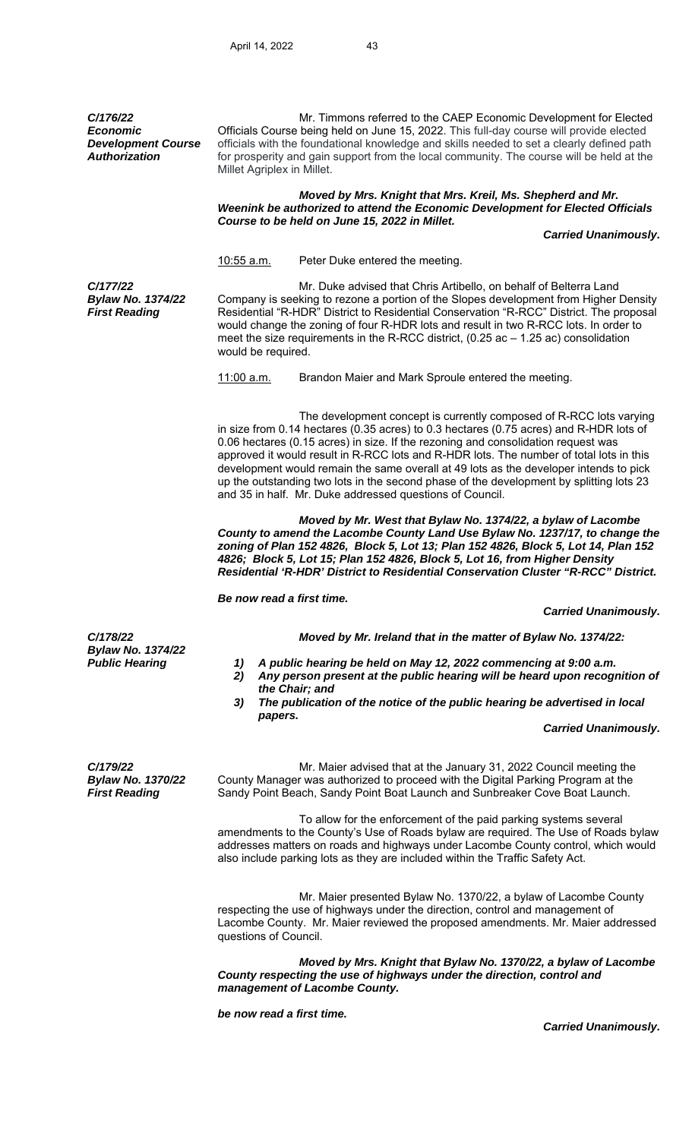*C/176/22 Economic Development Course Authorization* 

 Mr. Timmons referred to the CAEP Economic Development for Elected Officials Course being held on June 15, 2022. This full-day course will provide elected officials with the foundational knowledge and skills needed to set a clearly defined path for prosperity and gain support from the local community. The course will be held at the Millet Agriplex in Millet.

#### *Moved by Mrs. Knight that Mrs. Kreil, Ms. Shepherd and Mr. Weenink be authorized to attend the Economic Development for Elected Officials Course to be held on June 15, 2022 in Millet.*

 *Carried Unanimously.* 

10:55 a.m. Peter Duke entered the meeting.

*C/177/22 Bylaw No. 1374/22 First Reading* 

Mr. Duke advised that Chris Artibello, on behalf of Belterra Land Company is seeking to rezone a portion of the Slopes development from Higher Density Residential "R-HDR" District to Residential Conservation "R-RCC" District. The proposal would change the zoning of four R-HDR lots and result in two R-RCC lots. In order to meet the size requirements in the R-RCC district,  $(0.25$  ac  $-1.25$  ac) consolidation would be required.

11:00 a.m. Brandon Maier and Mark Sproule entered the meeting.

 The development concept is currently composed of R-RCC lots varying in size from 0.14 hectares (0.35 acres) to 0.3 hectares (0.75 acres) and R-HDR lots of 0.06 hectares (0.15 acres) in size. If the rezoning and consolidation request was approved it would result in R-RCC lots and R-HDR lots. The number of total lots in this development would remain the same overall at 49 lots as the developer intends to pick up the outstanding two lots in the second phase of the development by splitting lots 23 and 35 in half. Mr. Duke addressed questions of Council.

*Moved by Mr. West that Bylaw No. 1374/22, a bylaw of Lacombe County to amend the Lacombe County Land Use Bylaw No. 1237/17, to change the zoning of Plan 152 4826, Block 5, Lot 13; Plan 152 4826, Block 5, Lot 14, Plan 152 4826; Block 5, Lot 15; Plan 152 4826, Block 5, Lot 16, from Higher Density Residential 'R-HDR' District to Residential Conservation Cluster "R-RCC" District.* 

 *Be now read a first time.* 

 *Carried Unanimously.* 

*C/178/22 Moved by Mr. Ireland that in the matter of Bylaw No. 1374/22:* 

*Bylaw No. 1374/22* 

- *Public Hearing 1) A public hearing be held on May 12, 2022 commencing at 9:00 a.m.* 
	- *2) Any person present at the public hearing will be heard upon recognition of the Chair; and*
	- *3) The publication of the notice of the public hearing be advertised in local papers.*

## *Carried Unanimously.*

*C/179/22 Bylaw No. 1370/22 First Reading* 

 Mr. Maier advised that at the January 31, 2022 Council meeting the County Manager was authorized to proceed with the Digital Parking Program at the Sandy Point Beach, Sandy Point Boat Launch and Sunbreaker Cove Boat Launch.

 To allow for the enforcement of the paid parking systems several amendments to the County's Use of Roads bylaw are required. The Use of Roads bylaw addresses matters on roads and highways under Lacombe County control, which would also include parking lots as they are included within the Traffic Safety Act.

 Mr. Maier presented Bylaw No. 1370/22, a bylaw of Lacombe County respecting the use of highways under the direction, control and management of Lacombe County. Mr. Maier reviewed the proposed amendments. Mr. Maier addressed questions of Council.

 *Moved by Mrs. Knight that Bylaw No. 1370/22, a bylaw of Lacombe County respecting the use of highways under the direction, control and management of Lacombe County.* 

 *be now read a first time.* 

 *Carried Unanimously.*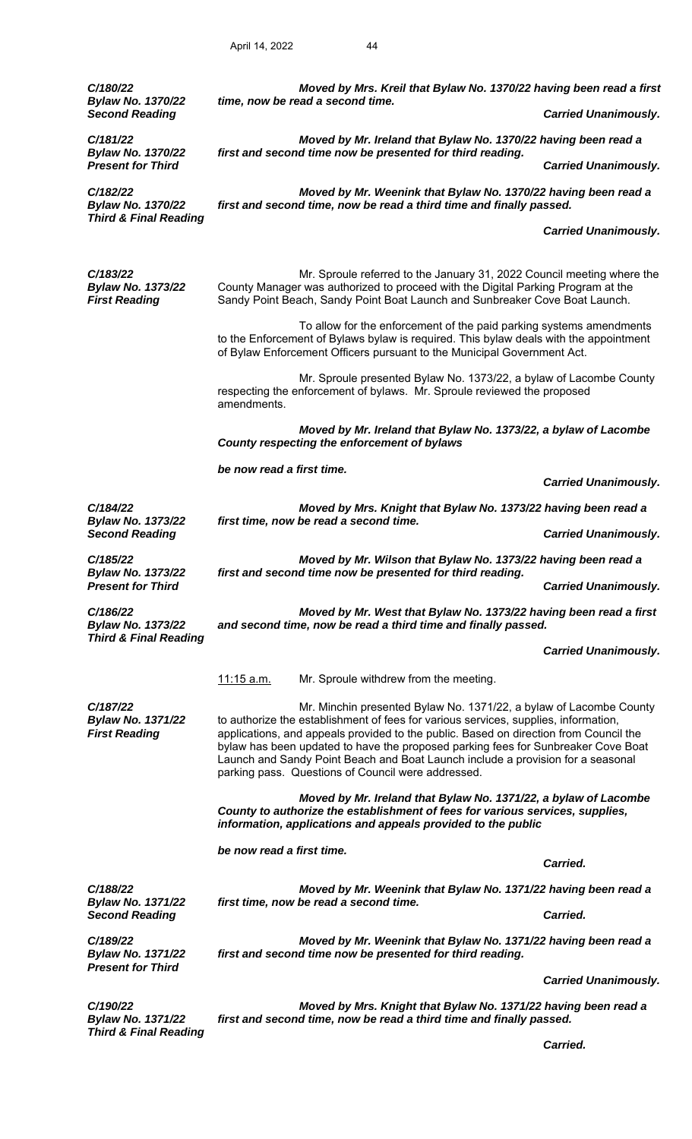| C/180/22<br><b>Bylaw No. 1370/22</b><br><b>Second Reading</b>            | time, now be read a second time.                                                                                                                                                                                                                                                                                                                                                                                                                                                 | Moved by Mrs. Kreil that Bylaw No. 1370/22 having been read a first                                                                                                                                                                       | <b>Carried Unanimously.</b> |  |
|--------------------------------------------------------------------------|----------------------------------------------------------------------------------------------------------------------------------------------------------------------------------------------------------------------------------------------------------------------------------------------------------------------------------------------------------------------------------------------------------------------------------------------------------------------------------|-------------------------------------------------------------------------------------------------------------------------------------------------------------------------------------------------------------------------------------------|-----------------------------|--|
| C/181/22                                                                 |                                                                                                                                                                                                                                                                                                                                                                                                                                                                                  | Moved by Mr. Ireland that Bylaw No. 1370/22 having been read a                                                                                                                                                                            |                             |  |
| <b>Bylaw No. 1370/22</b><br><b>Present for Third</b>                     | first and second time now be presented for third reading.                                                                                                                                                                                                                                                                                                                                                                                                                        |                                                                                                                                                                                                                                           | <b>Carried Unanimously.</b> |  |
| C/182/22<br><b>Bylaw No. 1370/22</b><br><b>Third &amp; Final Reading</b> | Moved by Mr. Weenink that Bylaw No. 1370/22 having been read a<br>first and second time, now be read a third time and finally passed.                                                                                                                                                                                                                                                                                                                                            |                                                                                                                                                                                                                                           |                             |  |
|                                                                          |                                                                                                                                                                                                                                                                                                                                                                                                                                                                                  | <b>Carried Unanimously.</b>                                                                                                                                                                                                               |                             |  |
| C/183/22<br><b>Bylaw No. 1373/22</b><br><b>First Reading</b>             |                                                                                                                                                                                                                                                                                                                                                                                                                                                                                  | Mr. Sproule referred to the January 31, 2022 Council meeting where the<br>County Manager was authorized to proceed with the Digital Parking Program at the<br>Sandy Point Beach, Sandy Point Boat Launch and Sunbreaker Cove Boat Launch. |                             |  |
|                                                                          |                                                                                                                                                                                                                                                                                                                                                                                                                                                                                  | To allow for the enforcement of the paid parking systems amendments<br>to the Enforcement of Bylaws bylaw is required. This bylaw deals with the appointment<br>of Bylaw Enforcement Officers pursuant to the Municipal Government Act.   |                             |  |
|                                                                          | amendments.                                                                                                                                                                                                                                                                                                                                                                                                                                                                      | Mr. Sproule presented Bylaw No. 1373/22, a bylaw of Lacombe County<br>respecting the enforcement of bylaws. Mr. Sproule reviewed the proposed                                                                                             |                             |  |
|                                                                          | County respecting the enforcement of bylaws                                                                                                                                                                                                                                                                                                                                                                                                                                      | Moved by Mr. Ireland that Bylaw No. 1373/22, a bylaw of Lacombe                                                                                                                                                                           |                             |  |
|                                                                          | be now read a first time.                                                                                                                                                                                                                                                                                                                                                                                                                                                        |                                                                                                                                                                                                                                           | <b>Carried Unanimously.</b> |  |
| C/184/22                                                                 | Moved by Mrs. Knight that Bylaw No. 1373/22 having been read a                                                                                                                                                                                                                                                                                                                                                                                                                   |                                                                                                                                                                                                                                           |                             |  |
| <b>Bylaw No. 1373/22</b><br><b>Second Reading</b>                        | first time, now be read a second time.                                                                                                                                                                                                                                                                                                                                                                                                                                           |                                                                                                                                                                                                                                           | <b>Carried Unanimously.</b> |  |
| C/185/22                                                                 |                                                                                                                                                                                                                                                                                                                                                                                                                                                                                  | Moved by Mr. Wilson that Bylaw No. 1373/22 having been read a                                                                                                                                                                             |                             |  |
| <b>Bylaw No. 1373/22</b><br><b>Present for Third</b>                     | first and second time now be presented for third reading.                                                                                                                                                                                                                                                                                                                                                                                                                        |                                                                                                                                                                                                                                           | <b>Carried Unanimously.</b> |  |
| C/186/22<br><b>Bylaw No. 1373/22</b>                                     |                                                                                                                                                                                                                                                                                                                                                                                                                                                                                  | Moved by Mr. West that Bylaw No. 1373/22 having been read a first<br>and second time, now be read a third time and finally passed.                                                                                                        |                             |  |
| <b>Third &amp; Final Reading</b>                                         |                                                                                                                                                                                                                                                                                                                                                                                                                                                                                  |                                                                                                                                                                                                                                           | <b>Carried Unanimously.</b> |  |
|                                                                          | <u>11:15 a.m.</u>                                                                                                                                                                                                                                                                                                                                                                                                                                                                | Mr. Sproule withdrew from the meeting.                                                                                                                                                                                                    |                             |  |
| C/187/22<br><b>Bylaw No. 1371/22</b><br><b>First Reading</b>             | Mr. Minchin presented Bylaw No. 1371/22, a bylaw of Lacombe County<br>to authorize the establishment of fees for various services, supplies, information,<br>applications, and appeals provided to the public. Based on direction from Council the<br>bylaw has been updated to have the proposed parking fees for Sunbreaker Cove Boat<br>Launch and Sandy Point Beach and Boat Launch include a provision for a seasonal<br>parking pass. Questions of Council were addressed. |                                                                                                                                                                                                                                           |                             |  |
|                                                                          |                                                                                                                                                                                                                                                                                                                                                                                                                                                                                  | Moved by Mr. Ireland that Bylaw No. 1371/22, a bylaw of Lacombe<br>County to authorize the establishment of fees for various services, supplies,<br>information, applications and appeals provided to the public                          |                             |  |
|                                                                          | be now read a first time.                                                                                                                                                                                                                                                                                                                                                                                                                                                        |                                                                                                                                                                                                                                           | Carried.                    |  |
| C/188/22                                                                 |                                                                                                                                                                                                                                                                                                                                                                                                                                                                                  | Moved by Mr. Weenink that Bylaw No. 1371/22 having been read a                                                                                                                                                                            |                             |  |
| <b>Bylaw No. 1371/22</b><br><b>Second Reading</b>                        | first time, now be read a second time.                                                                                                                                                                                                                                                                                                                                                                                                                                           |                                                                                                                                                                                                                                           | Carried.                    |  |
| C/189/22<br><b>Bylaw No. 1371/22</b><br><b>Present for Third</b>         | first and second time now be presented for third reading.                                                                                                                                                                                                                                                                                                                                                                                                                        | Moved by Mr. Weenink that Bylaw No. 1371/22 having been read a                                                                                                                                                                            |                             |  |
|                                                                          |                                                                                                                                                                                                                                                                                                                                                                                                                                                                                  |                                                                                                                                                                                                                                           | <b>Carried Unanimously.</b> |  |
| C/190/22<br><b>Bylaw No. 1371/22</b><br><b>Third &amp; Final Reading</b> |                                                                                                                                                                                                                                                                                                                                                                                                                                                                                  | Moved by Mrs. Knight that Bylaw No. 1371/22 having been read a<br>first and second time, now be read a third time and finally passed.                                                                                                     |                             |  |

 *Carried.*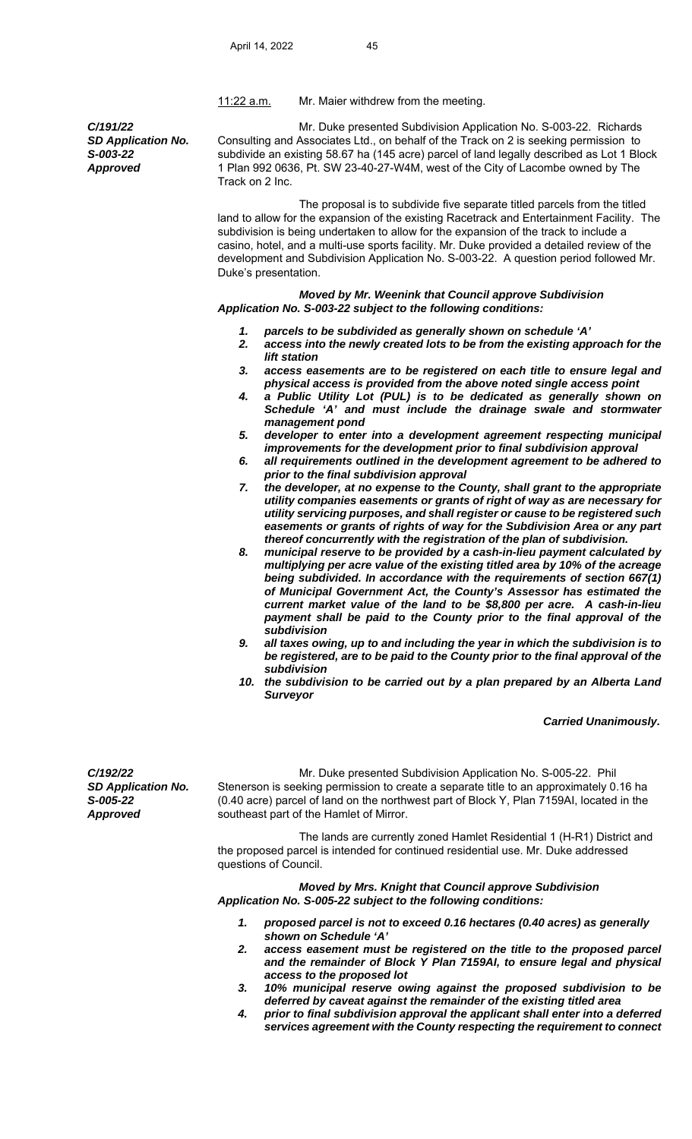11:22 a.m. Mr. Maier withdrew from the meeting.

*C/191/22 SD Application No. S-003-22 Approved* 

Mr. Duke presented Subdivision Application No. S-003-22. Richards Consulting and Associates Ltd., on behalf of the Track on 2 is seeking permission to subdivide an existing 58.67 ha (145 acre) parcel of land legally described as Lot 1 Block 1 Plan 992 0636, Pt. SW 23-40-27-W4M, west of the City of Lacombe owned by The Track on 2 Inc.

 The proposal is to subdivide five separate titled parcels from the titled land to allow for the expansion of the existing Racetrack and Entertainment Facility. The subdivision is being undertaken to allow for the expansion of the track to include a casino, hotel, and a multi-use sports facility. Mr. Duke provided a detailed review of the development and Subdivision Application No. S-003-22. A question period followed Mr. Duke's presentation.

 *Moved by Mr. Weenink that Council approve Subdivision Application No. S-003-22 subject to the following conditions:* 

- *1. parcels to be subdivided as generally shown on schedule 'A'*
- *2. access into the newly created lots to be from the existing approach for the lift station*
- *3. access easements are to be registered on each title to ensure legal and physical access is provided from the above noted single access point*
- *4. a Public Utility Lot (PUL) is to be dedicated as generally shown on Schedule 'A' and must include the drainage swale and stormwater management pond*
- *5. developer to enter into a development agreement respecting municipal improvements for the development prior to final subdivision approval*
- *6. all requirements outlined in the development agreement to be adhered to prior to the final subdivision approval*
- *7. the developer, at no expense to the County, shall grant to the appropriate utility companies easements or grants of right of way as are necessary for utility servicing purposes, and shall register or cause to be registered such easements or grants of rights of way for the Subdivision Area or any part thereof concurrently with the registration of the plan of subdivision.*
- *8. municipal reserve to be provided by a cash-in-lieu payment calculated by multiplying per acre value of the existing titled area by 10% of the acreage being subdivided. In accordance with the requirements of section 667(1) of Municipal Government Act, the County's Assessor has estimated the current market value of the land to be \$8,800 per acre. A cash-in-lieu payment shall be paid to the County prior to the final approval of the subdivision*
- *9. all taxes owing, up to and including the year in which the subdivision is to be registered, are to be paid to the County prior to the final approval of the subdivision*
- *10. the subdivision to be carried out by a plan prepared by an Alberta Land Surveyor*

 *Carried Unanimously.* 

*C/192/22 SD Application No. S-005-22 Approved* Mr. Duke presented Subdivision Application No. S-005-22. Phil Stenerson is seeking permission to create a separate title to an approximately 0.16 ha (0.40 acre) parcel of land on the northwest part of Block Y, Plan 7159AI, located in the southeast part of the Hamlet of Mirror. The lands are currently zoned Hamlet Residential 1 (H-R1) District and the proposed parcel is intended for continued residential use. Mr. Duke addressed questions of Council. *Moved by Mrs. Knight that Council approve Subdivision Application No. S-005-22 subject to the following conditions:* 

- *1. proposed parcel is not to exceed 0.16 hectares (0.40 acres) as generally shown on Schedule 'A'*
- *2. access easement must be registered on the title to the proposed parcel and the remainder of Block Y Plan 7159AI, to ensure legal and physical access to the proposed lot*
- *3. 10% municipal reserve owing against the proposed subdivision to be deferred by caveat against the remainder of the existing titled area*
- *4. prior to final subdivision approval the applicant shall enter into a deferred services agreement with the County respecting the requirement to connect*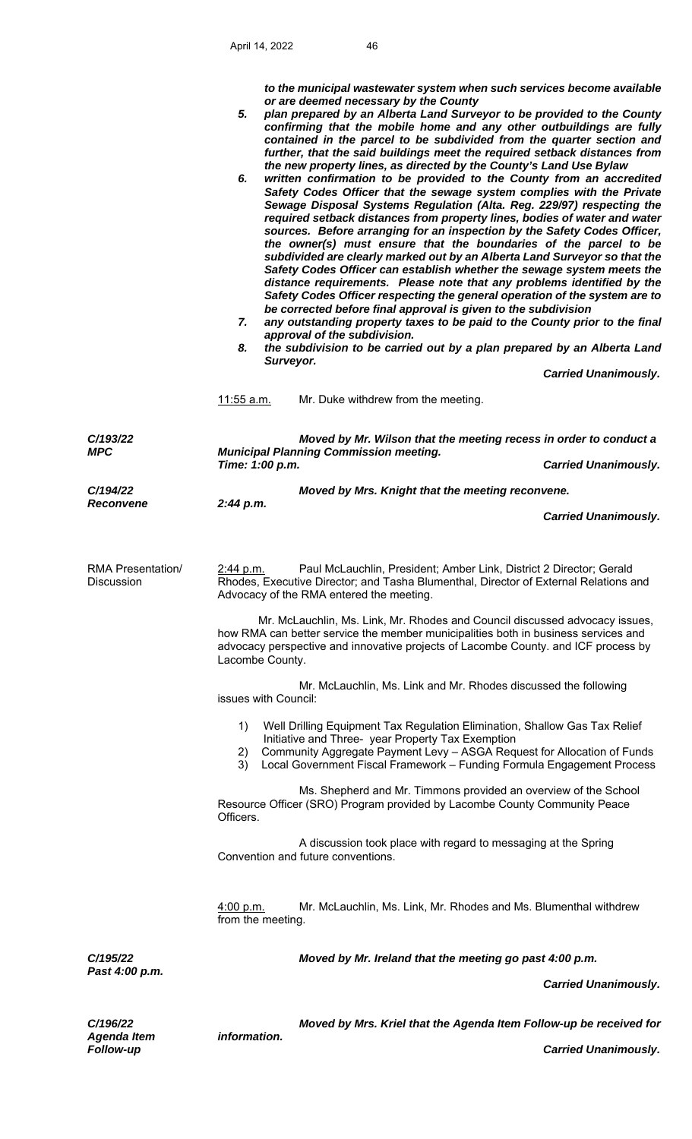*to the municipal wastewater system when such services become available or are deemed necessary by the County* 

- *5. plan prepared by an Alberta Land Surveyor to be provided to the County confirming that the mobile home and any other outbuildings are fully contained in the parcel to be subdivided from the quarter section and further, that the said buildings meet the required setback distances from the new property lines, as directed by the County's Land Use Bylaw*
- *6. written confirmation to be provided to the County from an accredited Safety Codes Officer that the sewage system complies with the Private Sewage Disposal Systems Regulation (Alta. Reg. 229/97) respecting the required setback distances from property lines, bodies of water and water sources. Before arranging for an inspection by the Safety Codes Officer, the owner(s) must ensure that the boundaries of the parcel to be subdivided are clearly marked out by an Alberta Land Surveyor so that the Safety Codes Officer can establish whether the sewage system meets the distance requirements. Please note that any problems identified by the Safety Codes Officer respecting the general operation of the system are to be corrected before final approval is given to the subdivision*
- *7. any outstanding property taxes to be paid to the County prior to the final approval of the subdivision.*
- *8. the subdivision to be carried out by a plan prepared by an Alberta Land Surveyor.*

|                                               |                                                                                                                                                                                                                                                                            |                                                                                                                                                                                                                                                                                      | <b>Carried Unanimously.</b> |
|-----------------------------------------------|----------------------------------------------------------------------------------------------------------------------------------------------------------------------------------------------------------------------------------------------------------------------------|--------------------------------------------------------------------------------------------------------------------------------------------------------------------------------------------------------------------------------------------------------------------------------------|-----------------------------|
|                                               | <u>11:55 a.m.</u>                                                                                                                                                                                                                                                          | Mr. Duke withdrew from the meeting.                                                                                                                                                                                                                                                  |                             |
| C/193/22<br><b>MPC</b>                        | Time: 1:00 p.m.                                                                                                                                                                                                                                                            | Moved by Mr. Wilson that the meeting recess in order to conduct a<br><b>Municipal Planning Commission meeting.</b>                                                                                                                                                                   | <b>Carried Unanimously.</b> |
|                                               |                                                                                                                                                                                                                                                                            |                                                                                                                                                                                                                                                                                      |                             |
| C/194/22<br><b>Reconvene</b>                  | 2:44 p.m.                                                                                                                                                                                                                                                                  | Moved by Mrs. Knight that the meeting reconvene.                                                                                                                                                                                                                                     |                             |
|                                               |                                                                                                                                                                                                                                                                            |                                                                                                                                                                                                                                                                                      | <b>Carried Unanimously.</b> |
|                                               |                                                                                                                                                                                                                                                                            |                                                                                                                                                                                                                                                                                      |                             |
| <b>RMA Presentation/</b><br><b>Discussion</b> | 2:44 p.m.                                                                                                                                                                                                                                                                  | Paul McLauchlin, President; Amber Link, District 2 Director; Gerald<br>Rhodes, Executive Director; and Tasha Blumenthal, Director of External Relations and<br>Advocacy of the RMA entered the meeting.                                                                              |                             |
|                                               | Mr. McLauchlin, Ms. Link, Mr. Rhodes and Council discussed advocacy issues,<br>how RMA can better service the member municipalities both in business services and<br>advocacy perspective and innovative projects of Lacombe County. and ICF process by<br>Lacombe County. |                                                                                                                                                                                                                                                                                      |                             |
|                                               | issues with Council:                                                                                                                                                                                                                                                       | Mr. McLauchlin, Ms. Link and Mr. Rhodes discussed the following                                                                                                                                                                                                                      |                             |
|                                               | 1)<br>2)<br>3)                                                                                                                                                                                                                                                             | Well Drilling Equipment Tax Regulation Elimination, Shallow Gas Tax Relief<br>Initiative and Three- year Property Tax Exemption<br>Community Aggregate Payment Levy - ASGA Request for Allocation of Funds<br>Local Government Fiscal Framework - Funding Formula Engagement Process |                             |
|                                               | Officers.                                                                                                                                                                                                                                                                  | Ms. Shepherd and Mr. Timmons provided an overview of the School<br>Resource Officer (SRO) Program provided by Lacombe County Community Peace                                                                                                                                         |                             |
|                                               |                                                                                                                                                                                                                                                                            | A discussion took place with regard to messaging at the Spring<br>Convention and future conventions.                                                                                                                                                                                 |                             |
|                                               | 4:00 p.m.<br>from the meeting.                                                                                                                                                                                                                                             | Mr. McLauchlin, Ms. Link, Mr. Rhodes and Ms. Blumenthal withdrew                                                                                                                                                                                                                     |                             |
| C/195/22                                      |                                                                                                                                                                                                                                                                            | Moved by Mr. Ireland that the meeting go past 4:00 p.m.                                                                                                                                                                                                                              |                             |
| Past 4:00 p.m.                                |                                                                                                                                                                                                                                                                            |                                                                                                                                                                                                                                                                                      | <b>Carried Unanimously.</b> |
| C/196/22<br>Agenda Item                       | information.                                                                                                                                                                                                                                                               | Moved by Mrs. Kriel that the Agenda Item Follow-up be received for                                                                                                                                                                                                                   |                             |

*Follow-up Carried Unanimously.*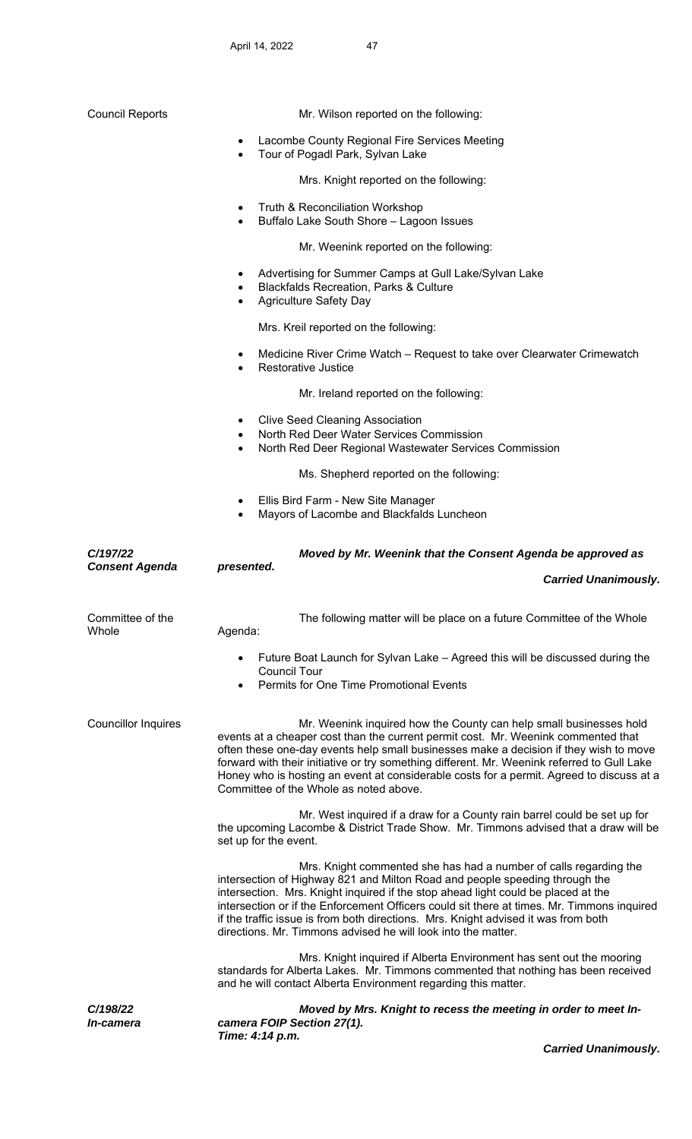| <b>Council Reports</b>              | Mr. Wilson reported on the following:                                                                                                                                                                                                                                                                                                                                                                                                                                                      |
|-------------------------------------|--------------------------------------------------------------------------------------------------------------------------------------------------------------------------------------------------------------------------------------------------------------------------------------------------------------------------------------------------------------------------------------------------------------------------------------------------------------------------------------------|
|                                     | Lacombe County Regional Fire Services Meeting<br>$\bullet$<br>Tour of Pogadl Park, Sylvan Lake<br>$\bullet$                                                                                                                                                                                                                                                                                                                                                                                |
|                                     | Mrs. Knight reported on the following:                                                                                                                                                                                                                                                                                                                                                                                                                                                     |
|                                     | Truth & Reconciliation Workshop<br>$\bullet$<br>Buffalo Lake South Shore - Lagoon Issues<br>$\bullet$                                                                                                                                                                                                                                                                                                                                                                                      |
|                                     | Mr. Weenink reported on the following:                                                                                                                                                                                                                                                                                                                                                                                                                                                     |
|                                     | Advertising for Summer Camps at Gull Lake/Sylvan Lake<br>٠<br><b>Blackfalds Recreation, Parks &amp; Culture</b><br><b>Agriculture Safety Day</b><br>$\bullet$                                                                                                                                                                                                                                                                                                                              |
|                                     | Mrs. Kreil reported on the following:                                                                                                                                                                                                                                                                                                                                                                                                                                                      |
|                                     | Medicine River Crime Watch - Request to take over Clearwater Crimewatch<br>$\bullet$<br>Restorative Justice<br>$\bullet$                                                                                                                                                                                                                                                                                                                                                                   |
|                                     | Mr. Ireland reported on the following:                                                                                                                                                                                                                                                                                                                                                                                                                                                     |
|                                     | <b>Clive Seed Cleaning Association</b><br>North Red Deer Water Services Commission<br>North Red Deer Regional Wastewater Services Commission<br>$\bullet$                                                                                                                                                                                                                                                                                                                                  |
|                                     | Ms. Shepherd reported on the following:                                                                                                                                                                                                                                                                                                                                                                                                                                                    |
|                                     | Ellis Bird Farm - New Site Manager<br>٠<br>Mayors of Lacombe and Blackfalds Luncheon<br>$\bullet$                                                                                                                                                                                                                                                                                                                                                                                          |
| C/197/22                            | Moved by Mr. Weenink that the Consent Agenda be approved as                                                                                                                                                                                                                                                                                                                                                                                                                                |
| <b>Consent Agenda</b>               | presented.                                                                                                                                                                                                                                                                                                                                                                                                                                                                                 |
|                                     | <b>Carried Unanimously.</b>                                                                                                                                                                                                                                                                                                                                                                                                                                                                |
| Committee of the<br>Whole           | The following matter will be place on a future Committee of the Whole<br>Agenda:                                                                                                                                                                                                                                                                                                                                                                                                           |
|                                     | Future Boat Launch for Sylvan Lake – Agreed this will be discussed during the<br><b>Council Tour</b><br>Permits for One Time Promotional Events                                                                                                                                                                                                                                                                                                                                            |
| Councillor Inquires                 | Mr. Weenink inquired how the County can help small businesses hold<br>events at a cheaper cost than the current permit cost. Mr. Weenink commented that<br>often these one-day events help small businesses make a decision if they wish to move<br>forward with their initiative or try something different. Mr. Weenink referred to Gull Lake<br>Honey who is hosting an event at considerable costs for a permit. Agreed to discuss at a<br>Committee of the Whole as noted above.      |
|                                     | Mr. West inquired if a draw for a County rain barrel could be set up for<br>the upcoming Lacombe & District Trade Show. Mr. Timmons advised that a draw will be<br>set up for the event.                                                                                                                                                                                                                                                                                                   |
|                                     | Mrs. Knight commented she has had a number of calls regarding the<br>intersection of Highway 821 and Milton Road and people speeding through the<br>intersection. Mrs. Knight inquired if the stop ahead light could be placed at the<br>intersection or if the Enforcement Officers could sit there at times. Mr. Timmons inquired<br>if the traffic issue is from both directions. Mrs. Knight advised it was from both<br>directions. Mr. Timmons advised he will look into the matter. |
|                                     | Mrs. Knight inquired if Alberta Environment has sent out the mooring<br>standards for Alberta Lakes. Mr. Timmons commented that nothing has been received<br>and he will contact Alberta Environment regarding this matter.                                                                                                                                                                                                                                                                |
| C/198/22<br><i><b>In-camera</b></i> | Moved by Mrs. Knight to recess the meeting in order to meet In-<br>camera FOIP Section 27(1).<br>Time: 4:14 p.m.                                                                                                                                                                                                                                                                                                                                                                           |